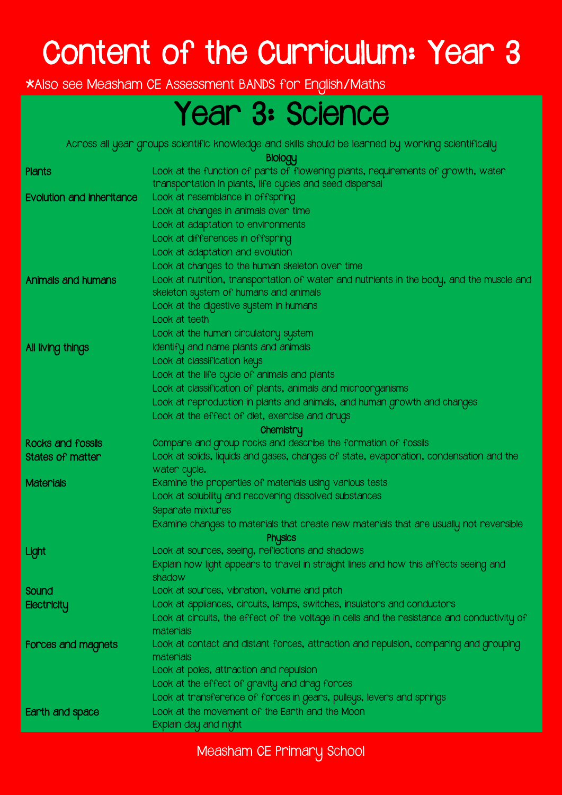# Content of the Curriculum: Year 3

\*Also see Measham CE Assessment BANDS for English/Maths

### Year 3: Science

Across all year groups scientific knowledge and skills should be learned by working scientifically

Biology

|                                  | Property                                                                                    |
|----------------------------------|---------------------------------------------------------------------------------------------|
| Plants                           | Look at the function of parts of flowering plants, requirements of growth, water            |
|                                  | transportation in plants, life cycles and seed dispersal                                    |
| <b>Evolution and inheritance</b> | Look at resemblance in offspring                                                            |
|                                  | Look at changes in animals over time                                                        |
|                                  | Look at adaptation to environments                                                          |
|                                  | Look at differences in offspring                                                            |
|                                  | Look at adaptation and evolution                                                            |
|                                  | Look at changes to the human skeleton over time                                             |
| Animals and humans               | Look at nutrition, transportation of water and nutrients in the body, and the muscle and    |
|                                  | skeleton system of humans and animals                                                       |
|                                  | Look at the digestive system in humans                                                      |
|                                  | Look at teeth                                                                               |
|                                  | Look at the human circulatory system                                                        |
| All living things                | Identify and name plants and animals                                                        |
|                                  | Look at classification keys                                                                 |
|                                  | Look at the life cycle of animals and plants                                                |
|                                  | Look at classification of plants, animals and microorganisms                                |
|                                  | Look at reproduction in plants and animals, and human growth and changes                    |
|                                  | Look at the effect of diet, exercise and drugs                                              |
|                                  | Chemistry                                                                                   |
| Rocks and fossils                | Compare and group rocks and describe the formation of fossils                               |
| States of matter                 | Look at solids, liquids and gases, changes of state, evaporation, condensation and the      |
|                                  | water cycle.                                                                                |
| <b>Materials</b>                 | Examine the properties of materials using various tests                                     |
|                                  | Look at solubility and recovering dissolved substances                                      |
|                                  | Separate mixtures                                                                           |
|                                  | Examine changes to materials that create new materials that are usually not reversible      |
|                                  | <b>Physics</b>                                                                              |
| Light                            | Look at sources, seeing, reflections and shadows                                            |
|                                  | Explain how light appears to travel in straight lines and how this affects seeing and       |
|                                  | shadow                                                                                      |
| Sound                            | Look at sources, vibration, volume and pitch                                                |
| Electricity                      | Look at appliances, circuits, lamps, switches, insulators and conductors                    |
|                                  | Look at circuits, the effect of the voltage in cells and the resistance and conductivity of |
|                                  | materials                                                                                   |
| Forces and magnets               | Look at contact and distant forces, attraction and repulsion, comparing and grouping        |
|                                  | materials                                                                                   |
|                                  | Look at poles, attraction and repulsion                                                     |
|                                  | Look at the effect of gravity and drag forces                                               |
|                                  | Look at transference of forces in gears, pulleys, levers and springs                        |
| Earth and space                  | Look at the movement of the Earth and the Moon                                              |
|                                  | Explain day and night                                                                       |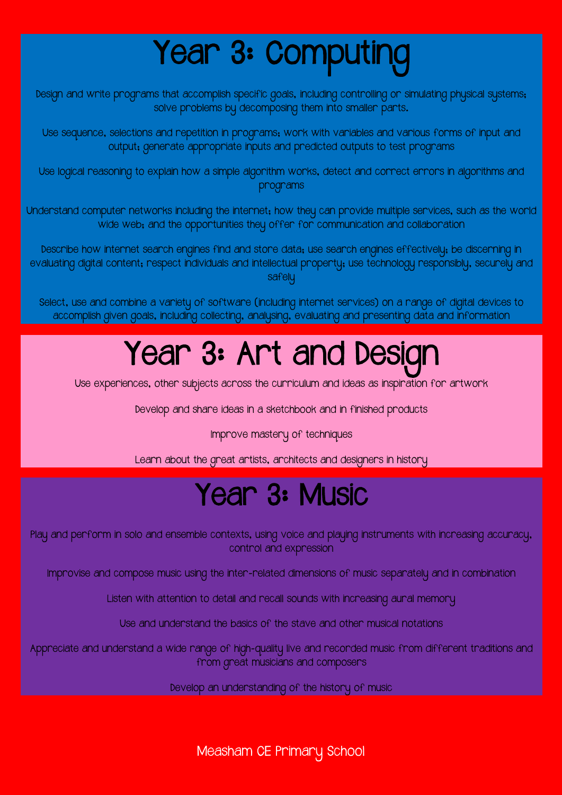# Year 3: Computing

Design and write programs that accomplish specific goals, including controlling or simulating physical systems; solve problems by decomposing them into smaller parts.

Use sequence, selections and repetition in programs; work with variables and various forms of input and output; generate appropriate inputs and predicted outputs to test programs

Use logical reasoning to explain how a simple algorithm works, detect and correct errors in algorithms and programs

Understand computer networks including the internet; how they can provide multiple services, such as the world wide web; and the opportunities they offer for communication and collaboration

Describe how internet search engines find and store data; use search engines effectively; be discerning in evaluating digital content; respect individuals and intellectual property; use technology responsibly, securely and safely

Select, use and combine a variety of software (including internet services) on a range of digital devices to accomplish given goals, including collecting, analysing, evaluating and presenting data and information

# Year 3: Art and Design

Use experiences, other subjects across the curriculum and ideas as inspiration for artwork

Develop and share ideas in a sketchbook and in finished products

Improve mastery of techniques

Learn about the great artists, architects and designers in history

#### Year 3: Music

Play and perform in solo and ensemble contexts, using voice and playing instruments with increasing accuracy, control and expression

Improvise and compose music using the inter-related dimensions of music separately and in combination

Listen with attention to detail and recall sounds with increasing aural memory

Use and understand the basics of the stave and other musical notations

Appreciate and understand a wide range of high-quality live and recorded music from different traditions and from great musicians and composers

Develop an understanding of the history of music

Measham CE Primary School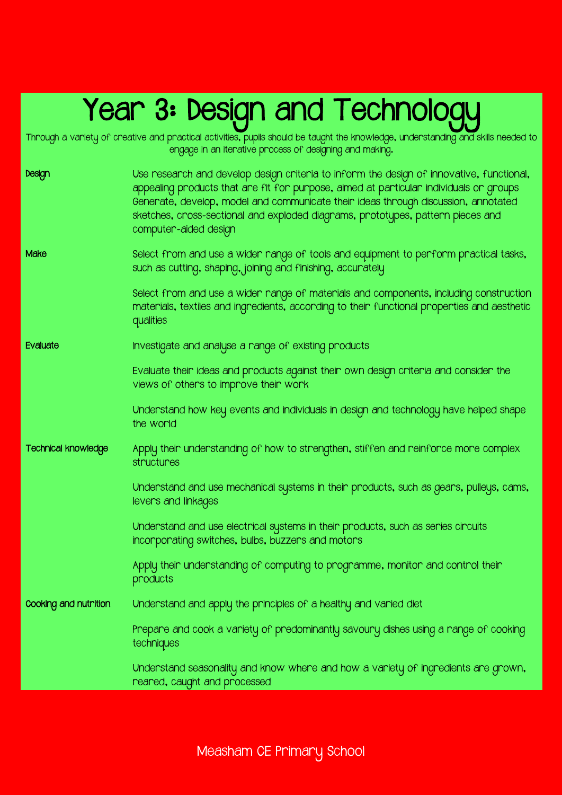## Year 3: Design and Technologu

Through a variety of creative and practical activities, pupils should be taught the knowledge, understanding and skills needed to

engage in an iterative process of designing and making. Design Use research and develop design criteria to inform the design of innovative, functional, appealing products that are fit for purpose, aimed at particular individuals or groups Generate, develop, model and communicate their ideas through discussion, annotated sketches, cross-sectional and exploded diagrams, prototypes, pattern pieces and computer-aided design Make Select from and use a wider range of tools and equipment to perform practical tasks, such as cutting, shaping, joining and finishing, accurately Select from and use a wider range of materials and components, including construction materials, textiles and ingredients, according to their functional properties and aesthetic qualities Evaluate Investigate and analyse a range of existing products Evaluate their ideas and products against their own design criteria and consider the views of others to improve their work Understand how key events and individuals in design and technology have helped shape the world Technical knowledge Apply their understanding of how to strengthen, stiffen and reinforce more complex structures Understand and use mechanical systems in their products, such as gears, pulleys, cams, levers and linkages Understand and use electrical systems in their products, such as series circuits incorporating switches, bulbs, buzzers and motors Apply their understanding of computing to programme, monitor and control their products Cooking and nutrition Understand and apply the principles of a healthy and varied diet Prepare and cook a variety of predominantly savoury dishes using a range of cooking techniques Understand seasonality and know where and how a variety of ingredients are grown, reared, caught and processed